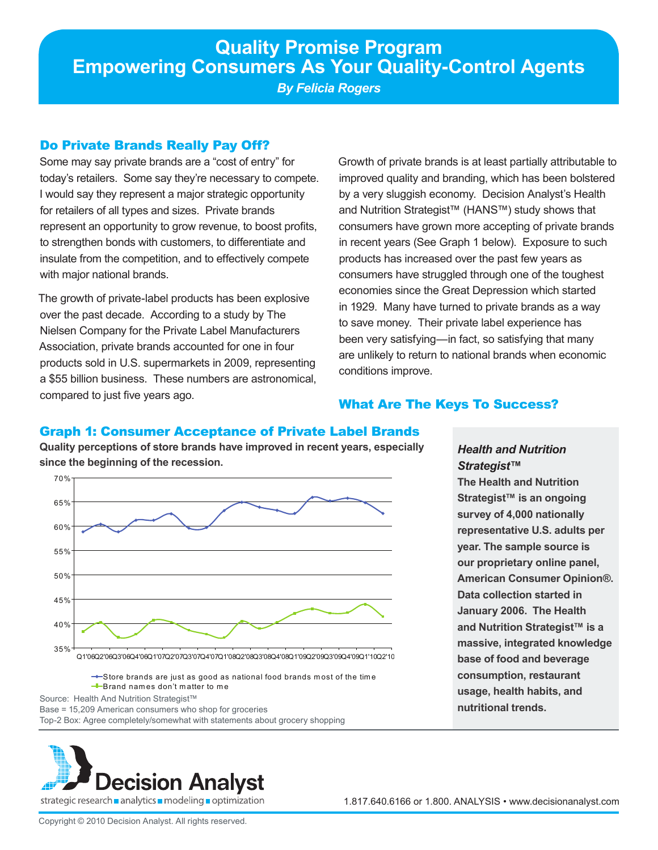*By Felicia Rogers*

# Do Private Brands Really Pay Off?

Some may say private brands are a "cost of entry" for today's retailers. Some say they're necessary to compete. I would say they represent a major strategic opportunity for retailers of all types and sizes. Private brands represent an opportunity to grow revenue, to boost profits, to strengthen bonds with customers, to differentiate and insulate from the competition, and to effectively compete with major national brands.

The growth of private-label products has been explosive over the past decade. According to a study by The Nielsen Company for the Private Label Manufacturers Association, private brands accounted for one in four products sold in U.S. supermarkets in 2009, representing a \$55 billion business. These numbers are astronomical, compared to just five years ago.

Growth of private brands is at least partially attributable to improved quality and branding, which has been bolstered by a very sluggish economy. Decision Analyst's Health and Nutrition Strategist™ (HANS™) study shows that consumers have grown more accepting of private brands in recent years (See Graph 1 below). Exposure to such products has increased over the past few years as consumers have struggled through one of the toughest economies since the Great Depression which started in 1929. Many have turned to private brands as a way to save money. Their private label experience has been very satisfying—in fact, so satisfying that many are unlikely to return to national brands when economic conditions improve.

*Health and Nutrition* 

**The Health and Nutrition Strategist™ is an ongoing survey of 4,000 nationally representative U.S. adults per year. The sample source is our proprietary online panel, American Consumer Opinion®.** 

**Data collection started in January 2006. The Health and Nutrition Strategist™ is a massive, integrated knowledge base of food and beverage consumption, restaurant usage, health habits, and** 

**nutritional trends.** 

*Strategist™*

# What Are The Keys To Success?

# Graph 1: Consumer Acceptance of Private Label Brands

**Quality perceptions of store brands have improved in recent years, especially since the beginning of the recession.**



 $\rightarrow$  Store brands are just as good as national food brands most of the time  $B$ rand names don't matter to me

Source: Health And Nutrition Strategist™

Base = 15,209 American consumers who shop for groceries

Top-2 Box: Agree completely/somewhat with statements about grocery shopping

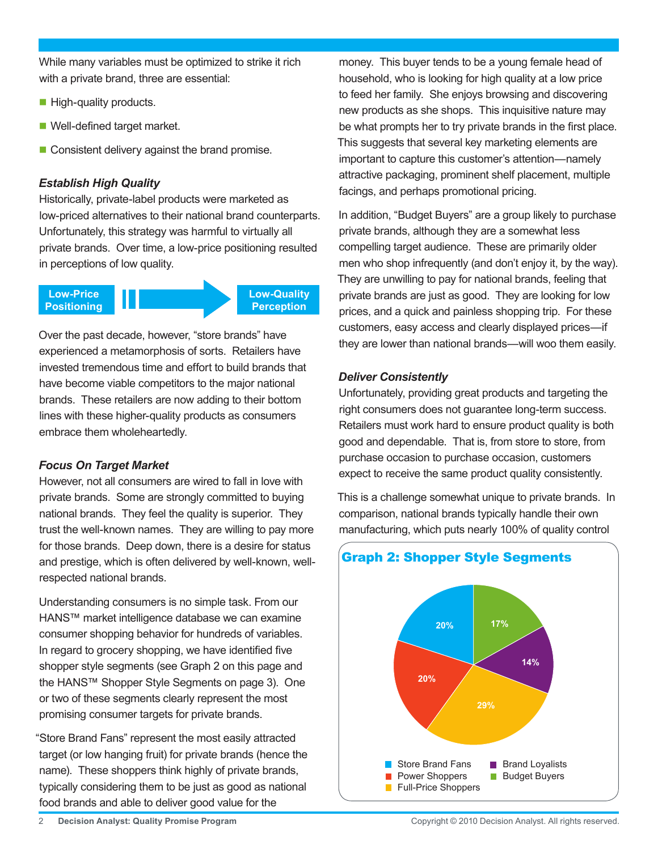While many variables must be optimized to strike it rich with a private brand, three are essential:

- $\blacksquare$  High-quality products.
- Well-defined target market.
- Consistent delivery against the brand promise.

### *Establish High Quality*

Historically, private-label products were marketed as low-priced alternatives to their national brand counterparts. Unfortunately, this strategy was harmful to virtually all private brands. Over time, a low-price positioning resulted in perceptions of low quality.



Over the past decade, however, "store brands" have experienced a metamorphosis of sorts. Retailers have invested tremendous time and effort to build brands that have become viable competitors to the major national brands. These retailers are now adding to their bottom lines with these higher-quality products as consumers embrace them wholeheartedly.

#### *Focus On Target Market*

However, not all consumers are wired to fall in love with private brands. Some are strongly committed to buying national brands. They feel the quality is superior. They trust the well-known names. They are willing to pay more for those brands. Deep down, there is a desire for status and prestige, which is often delivered by well-known, wellrespected national brands.

Understanding consumers is no simple task. From our HANS™ market intelligence database we can examine consumer shopping behavior for hundreds of variables. In regard to grocery shopping, we have identified five shopper style segments (see Graph 2 on this page and the HANS™ Shopper Style Segments on page 3). One or two of these segments clearly represent the most promising consumer targets for private brands.

"Store Brand Fans" represent the most easily attracted target (or low hanging fruit) for private brands (hence the name). These shoppers think highly of private brands, typically considering them to be just as good as national food brands and able to deliver good value for the

money. This buyer tends to be a young female head of household, who is looking for high quality at a low price to feed her family. She enjoys browsing and discovering new products as she shops. This inquisitive nature may be what prompts her to try private brands in the first place. This suggests that several key marketing elements are important to capture this customer's attention—namely attractive packaging, prominent shelf placement, multiple facings, and perhaps promotional pricing.

In addition, "Budget Buyers" are a group likely to purchase private brands, although they are a somewhat less compelling target audience. These are primarily older men who shop infrequently (and don't enjoy it, by the way). They are unwilling to pay for national brands, feeling that private brands are just as good. They are looking for low prices, and a quick and painless shopping trip. For these customers, easy access and clearly displayed prices—if they are lower than national brands—will woo them easily.

### *Deliver Consistently*

Unfortunately, providing great products and targeting the right consumers does not guarantee long-term success. Retailers must work hard to ensure product quality is both good and dependable. That is, from store to store, from purchase occasion to purchase occasion, customers expect to receive the same product quality consistently.

This is a challenge somewhat unique to private brands. In comparison, national brands typically handle their own manufacturing, which puts nearly 100% of quality control

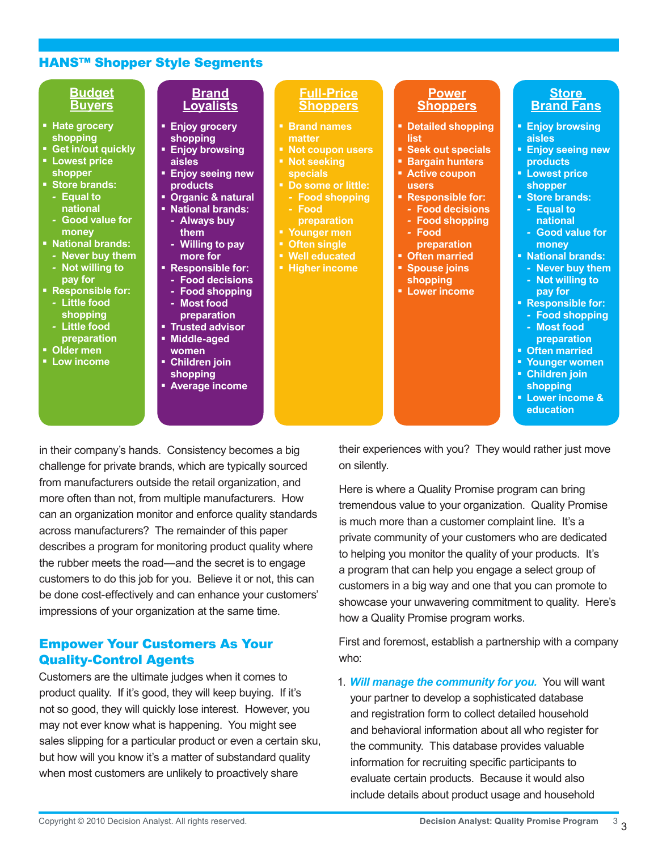## HANS™ Shopper Style Segments

| <b>Budget</b>                                                                                                                                                                                                                                                                                                                             | <b>Brand</b>                                                                                                                                                                                                                                                                                                                                                          | <b>Full-Price</b>                                                                                                                                                                                                            | <b>Power</b>                                                                                                                                                                                                                                                                       | <b>Store</b>                                                                                                                                                                                                                                                                                                                                                        |
|-------------------------------------------------------------------------------------------------------------------------------------------------------------------------------------------------------------------------------------------------------------------------------------------------------------------------------------------|-----------------------------------------------------------------------------------------------------------------------------------------------------------------------------------------------------------------------------------------------------------------------------------------------------------------------------------------------------------------------|------------------------------------------------------------------------------------------------------------------------------------------------------------------------------------------------------------------------------|------------------------------------------------------------------------------------------------------------------------------------------------------------------------------------------------------------------------------------------------------------------------------------|---------------------------------------------------------------------------------------------------------------------------------------------------------------------------------------------------------------------------------------------------------------------------------------------------------------------------------------------------------------------|
| <b>Buyers</b>                                                                                                                                                                                                                                                                                                                             | <b>Loyalists</b>                                                                                                                                                                                                                                                                                                                                                      | <b>Shoppers</b>                                                                                                                                                                                                              | <b>Shoppers</b>                                                                                                                                                                                                                                                                    | <b>Brand Fans</b>                                                                                                                                                                                                                                                                                                                                                   |
| • Hate grocery<br>shopping<br>• Get in/out quickly<br><b>- Lowest price</b><br>shopper<br>Store brands:<br>- Equal to<br>national<br>- Good value for<br>money<br>• National brands:<br>- Never buy them<br>- Not willing to<br>pay for<br>• Responsible for:<br>- Little food<br>shopping<br>- Little food<br>preparation<br>• Older men | <b>Enjoy grocery</b><br>shopping<br><b>Enjoy browsing</b><br>aisles<br><b>Enjoy seeing new</b><br><b>products</b><br>• Organic & natural<br>• National brands:<br>- Always buy<br>them<br>- Willing to pay<br>more for<br>• Responsible for:<br>- Food decisions<br>- Food shopping<br>- Most food<br>preparation<br><b>- Trusted advisor</b><br>Middle-aged<br>women | • Brand names<br>matter<br>• Not coupon users<br>• Not seeking<br><b>specials</b><br>Do some or little:<br>- Food shopping<br>- Food<br>preparation<br>" Younger men<br>• Often single<br>• Well educated<br>• Higher income | • Detailed shopping<br>list<br>• Seek out specials<br><b>Bargain hunters</b><br><b>Active coupon</b><br><b>users</b><br>• Responsible for:<br>- Food decisions<br>- Food shopping<br>- Food<br>preparation<br>• Often married<br>• Spouse joins<br>shopping<br><b>Lower income</b> | <b>Enjoy browsing</b><br>aisles<br><b>Enjoy seeing new</b><br><b>products</b><br><b>- Lowest price</b><br>shopper<br>Store brands:<br>- Equal to<br>national<br>- Good value for<br>money<br>• National brands:<br>- Never buy them<br>- Not willing to<br>pay for<br>• Responsible for:<br>- Food shopping<br>- Most food<br>preparation<br><b>• Often married</b> |

- **Low income**
- **women**
- **Children join**
- **shopping**
- **Average income**
- **Often married**
- **Younger women**
- **Children join shopping**
- **Lower income & education**

in their company's hands. Consistency becomes a big challenge for private brands, which are typically sourced from manufacturers outside the retail organization, and more often than not, from multiple manufacturers. How can an organization monitor and enforce quality standards across manufacturers? The remainder of this paper describes a program for monitoring product quality where the rubber meets the road—and the secret is to engage customers to do this job for you. Believe it or not, this can be done cost-effectively and can enhance your customers' impressions of your organization at the same time.

## Empower Your Customers As Your Quality-Control Agents

Customers are the ultimate judges when it comes to product quality. If it's good, they will keep buying. If it's not so good, they will quickly lose interest. However, you may not ever know what is happening. You might see sales slipping for a particular product or even a certain sku, but how will you know it's a matter of substandard quality when most customers are unlikely to proactively share

their experiences with you? They would rather just move on silently.

Here is where a Quality Promise program can bring tremendous value to your organization. Quality Promise is much more than a customer complaint line. It's a private community of your customers who are dedicated to helping you monitor the quality of your products. It's a program that can help you engage a select group of customers in a big way and one that you can promote to showcase your unwavering commitment to quality. Here's how a Quality Promise program works.

First and foremost, establish a partnership with a company who:

1. *Will manage the community for you.* You will want your partner to develop a sophisticated database and registration form to collect detailed household and behavioral information about all who register for the community. This database provides valuable information for recruiting specific participants to evaluate certain products. Because it would also include details about product usage and household